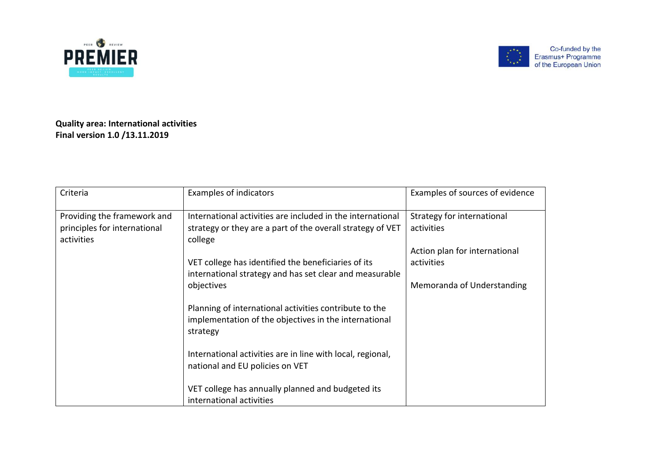



**Quality area: International activities Final version 1.0 /13.11.2019**

| Criteria                     | <b>Examples of indicators</b>                                                                                               | Examples of sources of evidence |
|------------------------------|-----------------------------------------------------------------------------------------------------------------------------|---------------------------------|
| Providing the framework and  | International activities are included in the international                                                                  | Strategy for international      |
| principles for international | strategy or they are a part of the overall strategy of VET                                                                  | activities                      |
| activities                   | college                                                                                                                     |                                 |
|                              |                                                                                                                             | Action plan for international   |
|                              | VET college has identified the beneficiaries of its                                                                         | activities                      |
|                              | international strategy and has set clear and measurable                                                                     |                                 |
|                              | objectives                                                                                                                  | Memoranda of Understanding      |
|                              | Planning of international activities contribute to the<br>implementation of the objectives in the international<br>strategy |                                 |
|                              | International activities are in line with local, regional,<br>national and EU policies on VET                               |                                 |
|                              | VET college has annually planned and budgeted its<br>international activities                                               |                                 |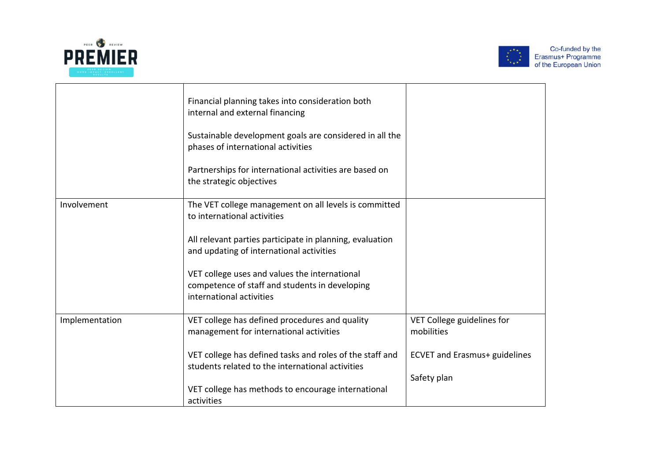



|                | Financial planning takes into consideration both<br>internal and external financing                                         |                                          |
|----------------|-----------------------------------------------------------------------------------------------------------------------------|------------------------------------------|
|                | Sustainable development goals are considered in all the<br>phases of international activities                               |                                          |
|                | Partnerships for international activities are based on<br>the strategic objectives                                          |                                          |
| Involvement    | The VET college management on all levels is committed<br>to international activities                                        |                                          |
|                | All relevant parties participate in planning, evaluation<br>and updating of international activities                        |                                          |
|                | VET college uses and values the international<br>competence of staff and students in developing<br>international activities |                                          |
| Implementation | VET college has defined procedures and quality<br>management for international activities                                   | VET College guidelines for<br>mobilities |
|                | VET college has defined tasks and roles of the staff and<br>students related to the international activities                | <b>ECVET and Erasmus+ guidelines</b>     |
|                | VET college has methods to encourage international<br>activities                                                            | Safety plan                              |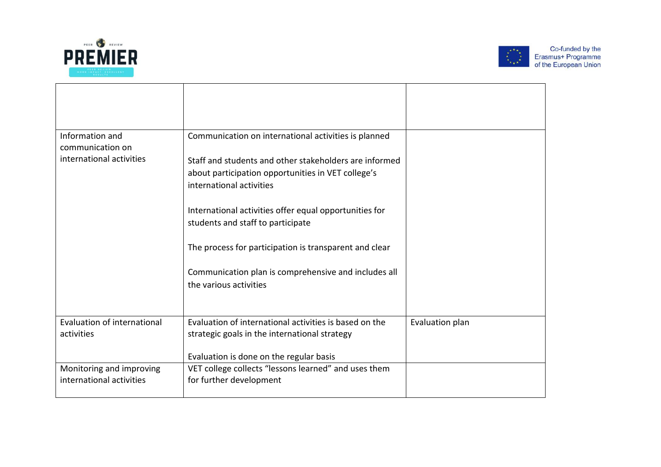



| Information and                              | Communication on international activities is planned                           |                 |
|----------------------------------------------|--------------------------------------------------------------------------------|-----------------|
| communication on<br>international activities |                                                                                |                 |
|                                              | Staff and students and other stakeholders are informed                         |                 |
|                                              | about participation opportunities in VET college's                             |                 |
|                                              | international activities                                                       |                 |
|                                              | International activities offer equal opportunities for                         |                 |
|                                              | students and staff to participate                                              |                 |
|                                              |                                                                                |                 |
|                                              | The process for participation is transparent and clear                         |                 |
|                                              |                                                                                |                 |
|                                              | Communication plan is comprehensive and includes all<br>the various activities |                 |
|                                              |                                                                                |                 |
|                                              |                                                                                |                 |
| <b>Evaluation of international</b>           | Evaluation of international activities is based on the                         | Evaluation plan |
| activities                                   | strategic goals in the international strategy                                  |                 |
|                                              |                                                                                |                 |
|                                              | Evaluation is done on the regular basis                                        |                 |
| Monitoring and improving                     | VET college collects "lessons learned" and uses them                           |                 |
| international activities                     | for further development                                                        |                 |
|                                              |                                                                                |                 |